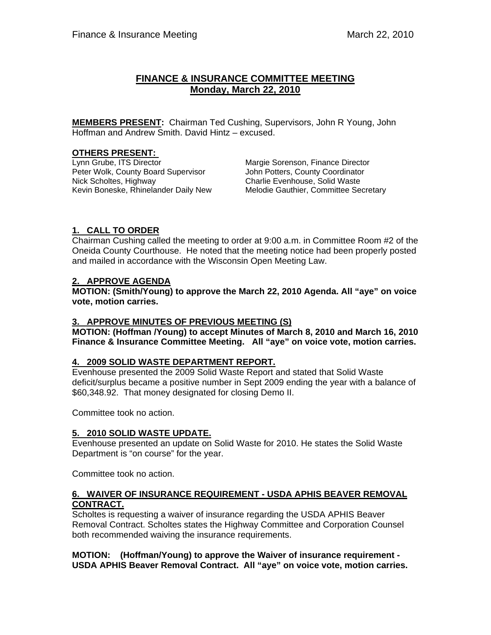# **FINANCE & INSURANCE COMMITTEE MEETING Monday, March 22, 2010**

**MEMBERS PRESENT:** Chairman Ted Cushing, Supervisors, John R Young, John Hoffman and Andrew Smith. David Hintz – excused.

# **OTHERS PRESENT:**<br>Lynn Grube, ITS Director

Peter Wolk, County Board Supervisor **John Potters, County Coordinator** Kevin Boneske, Rhinelander Daily New

Margie Sorenson, Finance Director Nick Scholtes, Highway<br>Kevin Boneske, Rhinelander Daily New Melodie Gauthier, Committee Secretary

# **1. CALL TO ORDER**

Chairman Cushing called the meeting to order at 9:00 a.m. in Committee Room #2 of the Oneida County Courthouse. He noted that the meeting notice had been properly posted and mailed in accordance with the Wisconsin Open Meeting Law.

# **2. APPROVE AGENDA**

**MOTION: (Smith/Young) to approve the March 22, 2010 Agenda. All "aye" on voice vote, motion carries.** 

# **3. APPROVE MINUTES OF PREVIOUS MEETING (S)**

**MOTION: (Hoffman /Young) to accept Minutes of March 8, 2010 and March 16, 2010 Finance & Insurance Committee Meeting. All "aye" on voice vote, motion carries.** 

# **4. 2009 SOLID WASTE DEPARTMENT REPORT.**

Evenhouse presented the 2009 Solid Waste Report and stated that Solid Waste deficit/surplus became a positive number in Sept 2009 ending the year with a balance of \$60,348.92. That money designated for closing Demo II.

Committee took no action.

# **5. 2010 SOLID WASTE UPDATE.**

Evenhouse presented an update on Solid Waste for 2010. He states the Solid Waste Department is "on course" for the year.

Committee took no action.

# **6. WAIVER OF INSURANCE REQUIREMENT - USDA APHIS BEAVER REMOVAL CONTRACT.**

 Scholtes is requesting a waiver of insurance regarding the USDA APHIS Beaver Removal Contract. Scholtes states the Highway Committee and Corporation Counsel both recommended waiving the insurance requirements.

**MOTION: (Hoffman/Young) to approve the Waiver of insurance requirement - USDA APHIS Beaver Removal Contract. All "aye" on voice vote, motion carries.**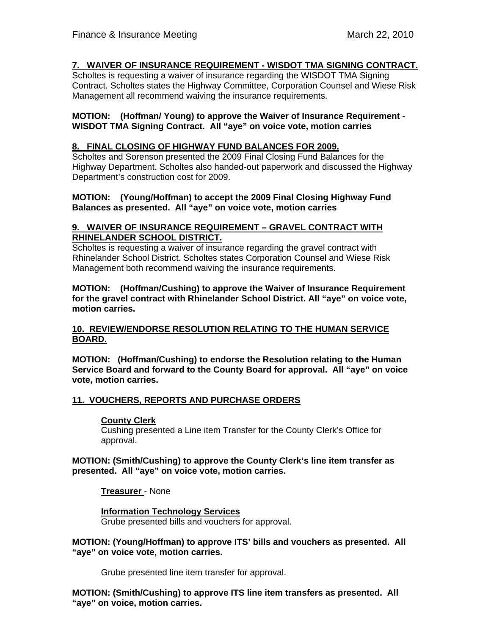# **7. WAIVER OF INSURANCE REQUIREMENT - WISDOT TMA SIGNING CONTRACT.**

 Scholtes is requesting a waiver of insurance regarding the WISDOT TMA Signing Contract. Scholtes states the Highway Committee, Corporation Counsel and Wiese Risk Management all recommend waiving the insurance requirements.

#### **MOTION: (Hoffman/ Young) to approve the Waiver of Insurance Requirement - WISDOT TMA Signing Contract. All "aye" on voice vote, motion carries**

# **8. FINAL CLOSING OF HIGHWAY FUND BALANCES FOR 2009.**

Scholtes and Sorenson presented the 2009 Final Closing Fund Balances for the Highway Department. Scholtes also handed-out paperwork and discussed the Highway Department's construction cost for 2009.

#### **MOTION: (Young/Hoffman) to accept the 2009 Final Closing Highway Fund Balances as presented. All "aye" on voice vote, motion carries**

#### **9. WAIVER OF INSURANCE REQUIREMENT – GRAVEL CONTRACT WITH RHINELANDER SCHOOL DISTRICT.**

 Scholtes is requesting a waiver of insurance regarding the gravel contract with Rhinelander School District. Scholtes states Corporation Counsel and Wiese Risk Management both recommend waiving the insurance requirements.

**MOTION: (Hoffman/Cushing) to approve the Waiver of Insurance Requirement for the gravel contract with Rhinelander School District. All "aye" on voice vote, motion carries.** 

# **10. REVIEW/ENDORSE RESOLUTION RELATING TO THE HUMAN SERVICE BOARD.**

**MOTION: (Hoffman/Cushing) to endorse the Resolution relating to the Human Service Board and forward to the County Board for approval. All "aye" on voice vote, motion carries.**

# **11. VOUCHERS, REPORTS AND PURCHASE ORDERS**

#### **County Clerk**

Cushing presented a Line item Transfer for the County Clerk's Office for approval.

**MOTION: (Smith/Cushing) to approve the County Clerk's line item transfer as presented. All "aye" on voice vote, motion carries.** 

**Treasurer** - None

**Information Technology Services** Grube presented bills and vouchers for approval.

**MOTION: (Young/Hoffman) to approve ITS' bills and vouchers as presented. All "aye" on voice vote, motion carries.** 

Grube presented line item transfer for approval.

**MOTION: (Smith/Cushing) to approve ITS line item transfers as presented. All "aye" on voice, motion carries.**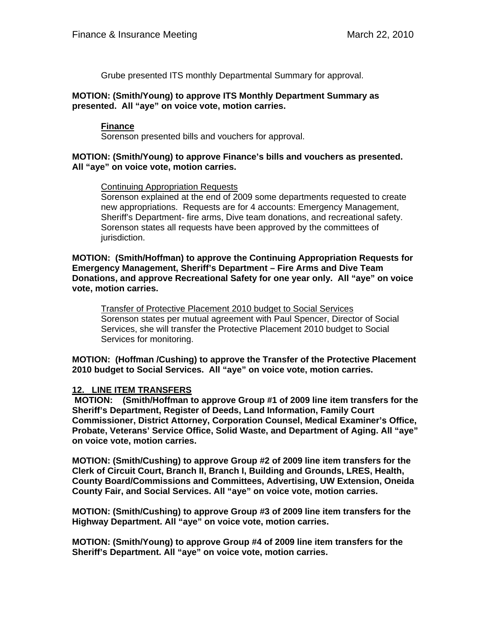Grube presented ITS monthly Departmental Summary for approval.

#### **MOTION: (Smith/Young) to approve ITS Monthly Department Summary as presented. All "aye" on voice vote, motion carries.**

#### **Finance**

Sorenson presented bills and vouchers for approval.

#### **MOTION: (Smith/Young) to approve Finance's bills and vouchers as presented. All "aye" on voice vote, motion carries.**

Continuing Appropriation Requests

Sorenson explained at the end of 2009 some departments requested to create new appropriations. Requests are for 4 accounts: Emergency Management, Sheriff's Department- fire arms, Dive team donations, and recreational safety. Sorenson states all requests have been approved by the committees of jurisdiction.

**MOTION: (Smith/Hoffman) to approve the Continuing Appropriation Requests for Emergency Management, Sheriff's Department – Fire Arms and Dive Team Donations, and approve Recreational Safety for one year only. All "aye" on voice vote, motion carries.** 

 Transfer of Protective Placement 2010 budget to Social Services Sorenson states per mutual agreement with Paul Spencer, Director of Social Services, she will transfer the Protective Placement 2010 budget to Social Services for monitoring.

**MOTION: (Hoffman /Cushing) to approve the Transfer of the Protective Placement 2010 budget to Social Services. All "aye" on voice vote, motion carries.** 

# **12. LINE ITEM TRANSFERS**

 **MOTION: (Smith/Hoffman to approve Group #1 of 2009 line item transfers for the Sheriff's Department, Register of Deeds, Land Information, Family Court Commissioner, District Attorney, Corporation Counsel, Medical Examiner's Office, Probate, Veterans' Service Office, Solid Waste, and Department of Aging. All "aye" on voice vote, motion carries.** 

**MOTION: (Smith/Cushing) to approve Group #2 of 2009 line item transfers for the Clerk of Circuit Court, Branch II, Branch I, Building and Grounds, LRES, Health, County Board/Commissions and Committees, Advertising, UW Extension, Oneida County Fair, and Social Services. All "aye" on voice vote, motion carries.** 

**MOTION: (Smith/Cushing) to approve Group #3 of 2009 line item transfers for the Highway Department. All "aye" on voice vote, motion carries.** 

**MOTION: (Smith/Young) to approve Group #4 of 2009 line item transfers for the Sheriff's Department. All "aye" on voice vote, motion carries.**